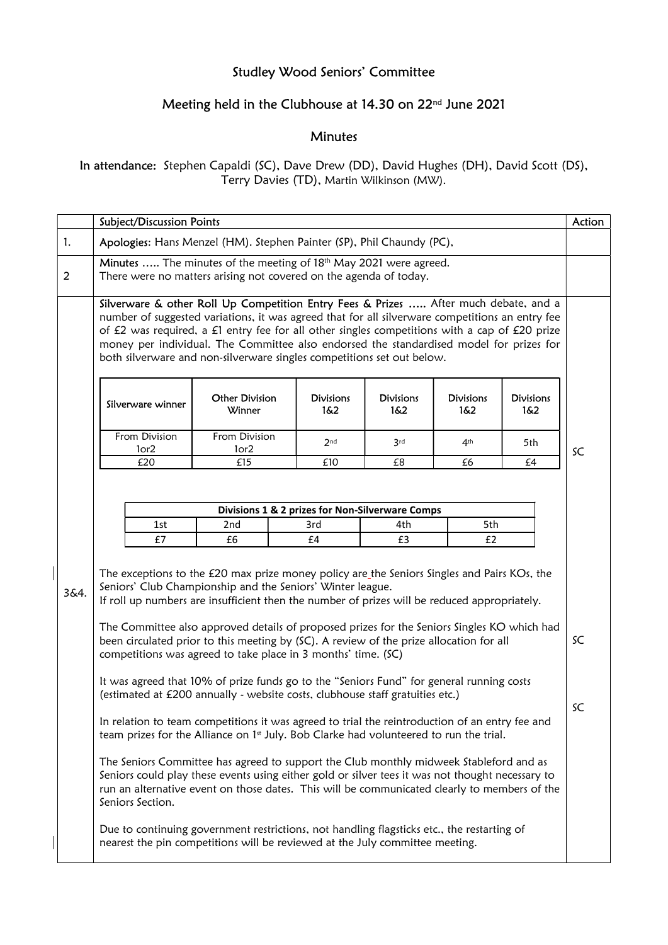## Studley Wood Seniors' Committee

## Meeting held in the Clubhouse at 14.30 on 22nd June 2021

## Minutes

In attendance: Stephen Capaldi (SC), Dave Drew (DD), David Hughes (DH), David Scott (DS), Terry Davies (TD), Martin Wilkinson (MW).

|                | <b>Subject/Discussion Points</b>                                                                                                                                                                                                                                                                                                                                                                                                                                                                                                                                                                                                                                                                                                                                                                                                                                                                                                                                                                                                                                                                                                                                                                                |     |                                   |  |                         |                         |                         |                          | Action   |  |
|----------------|-----------------------------------------------------------------------------------------------------------------------------------------------------------------------------------------------------------------------------------------------------------------------------------------------------------------------------------------------------------------------------------------------------------------------------------------------------------------------------------------------------------------------------------------------------------------------------------------------------------------------------------------------------------------------------------------------------------------------------------------------------------------------------------------------------------------------------------------------------------------------------------------------------------------------------------------------------------------------------------------------------------------------------------------------------------------------------------------------------------------------------------------------------------------------------------------------------------------|-----|-----------------------------------|--|-------------------------|-------------------------|-------------------------|--------------------------|----------|--|
| 1.             | Apologies: Hans Menzel (HM). Stephen Painter (SP), Phil Chaundy (PC),                                                                                                                                                                                                                                                                                                                                                                                                                                                                                                                                                                                                                                                                                                                                                                                                                                                                                                                                                                                                                                                                                                                                           |     |                                   |  |                         |                         |                         |                          |          |  |
| $\overline{2}$ | Minutes  The minutes of the meeting of 18th May 2021 were agreed.<br>There were no matters arising not covered on the agenda of today.                                                                                                                                                                                                                                                                                                                                                                                                                                                                                                                                                                                                                                                                                                                                                                                                                                                                                                                                                                                                                                                                          |     |                                   |  |                         |                         |                         |                          |          |  |
|                | Silverware & other Roll Up Competition Entry Fees & Prizes  After much debate, and a<br>number of suggested variations, it was agreed that for all silverware competitions an entry fee<br>of £2 was required, a £1 entry fee for all other singles competitions with a cap of £20 prize<br>money per individual. The Committee also endorsed the standardised model for prizes for<br>both silverware and non-silverware singles competitions set out below.                                                                                                                                                                                                                                                                                                                                                                                                                                                                                                                                                                                                                                                                                                                                                   |     |                                   |  |                         |                         |                         |                          |          |  |
|                | Silverware winner                                                                                                                                                                                                                                                                                                                                                                                                                                                                                                                                                                                                                                                                                                                                                                                                                                                                                                                                                                                                                                                                                                                                                                                               |     | <b>Other Division</b><br>Winner   |  | <b>Divisions</b><br>1&2 | <b>Divisions</b><br>1&2 | <b>Divisions</b><br>1&2 | <b>Divisions</b><br>16.2 | SC       |  |
|                | From Division<br>1or <sub>2</sub>                                                                                                                                                                                                                                                                                                                                                                                                                                                                                                                                                                                                                                                                                                                                                                                                                                                                                                                                                                                                                                                                                                                                                                               |     | From Division<br>1or <sub>2</sub> |  | 2 <sub>nd</sub>         | 3rd                     | 4 <sup>th</sup>         | 5th                      |          |  |
|                |                                                                                                                                                                                                                                                                                                                                                                                                                                                                                                                                                                                                                                                                                                                                                                                                                                                                                                                                                                                                                                                                                                                                                                                                                 | £20 | £15                               |  | £10                     | £8                      | £6                      | £4                       |          |  |
|                | Divisions 1 & 2 prizes for Non-Silverware Comps<br>2nd<br>1st<br>3rd                                                                                                                                                                                                                                                                                                                                                                                                                                                                                                                                                                                                                                                                                                                                                                                                                                                                                                                                                                                                                                                                                                                                            |     |                                   |  | 5th<br>4th              |                         |                         |                          |          |  |
|                |                                                                                                                                                                                                                                                                                                                                                                                                                                                                                                                                                                                                                                                                                                                                                                                                                                                                                                                                                                                                                                                                                                                                                                                                                 | £7  | £6                                |  | £4                      | £3                      | E <sub>2</sub>          |                          |          |  |
| 3&4.           | The exceptions to the £20 max prize money policy are_the Seniors Singles and Pairs KOs, the<br>Seniors' Club Championship and the Seniors' Winter league.<br>If roll up numbers are insufficient then the number of prizes will be reduced appropriately.<br>The Committee also approved details of proposed prizes for the Seniors Singles KO which had<br>been circulated prior to this meeting by (SC). A review of the prize allocation for all<br>competitions was agreed to take place in 3 months' time. (SC)<br>It was agreed that 10% of prize funds go to the "Seniors Fund" for general running costs<br>(estimated at £200 annually - website costs, clubhouse staff gratuities etc.)<br>In relation to team competitions it was agreed to trial the reintroduction of an entry fee and<br>team prizes for the Alliance on 1st July. Bob Clarke had volunteered to run the trial.<br>The Seniors Committee has agreed to support the Club monthly midweek Stableford and as<br>Seniors could play these events using either gold or silver tees it was not thought necessary to<br>run an alternative event on those dates. This will be communicated clearly to members of the<br>Seniors Section. |     |                                   |  |                         |                         |                         |                          | SC<br>SC |  |
|                | Due to continuing government restrictions, not handling flagsticks etc., the restarting of<br>nearest the pin competitions will be reviewed at the July committee meeting.                                                                                                                                                                                                                                                                                                                                                                                                                                                                                                                                                                                                                                                                                                                                                                                                                                                                                                                                                                                                                                      |     |                                   |  |                         |                         |                         |                          |          |  |